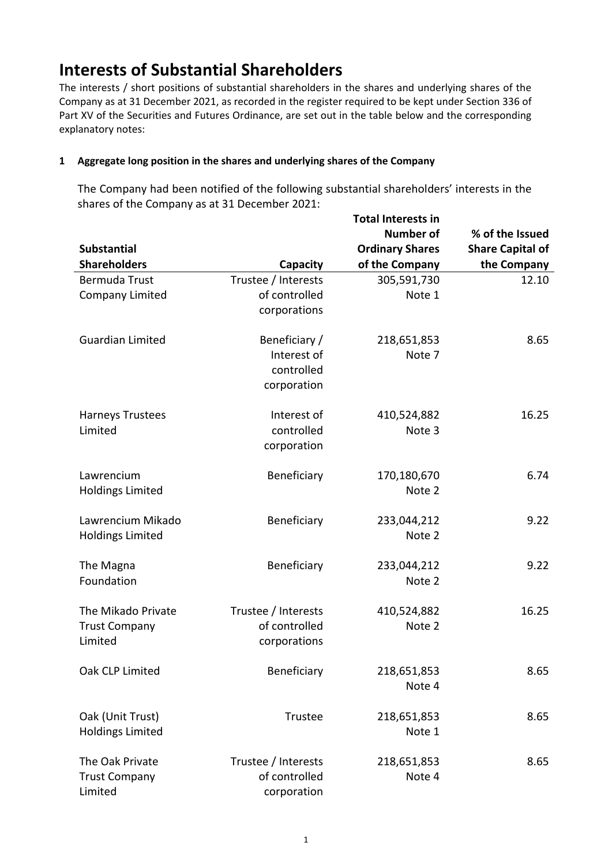## **Interests of Substantial Shareholders**

The interests / short positions of substantial shareholders in the shares and underlying shares of the Company as at 31 December 2021, as recorded in the register required to be kept under Section 336 of Part XV of the Securities and Futures Ordinance, are set out in the table below and the corresponding explanatory notes:

### **1 Aggregate long position in the shares and underlying shares of the Company**

The Company had been notified of the following substantial shareholders' interests in the shares of the Company as at 31 December 2021:

|                         |                     | <b>Number of</b>       | % of the Issued         |
|-------------------------|---------------------|------------------------|-------------------------|
| <b>Substantial</b>      |                     | <b>Ordinary Shares</b> | <b>Share Capital of</b> |
| <b>Shareholders</b>     | Capacity            | of the Company         | the Company             |
| Bermuda Trust           | Trustee / Interests | 305,591,730            | 12.10                   |
| <b>Company Limited</b>  | of controlled       | Note 1                 |                         |
|                         | corporations        |                        |                         |
| <b>Guardian Limited</b> | Beneficiary /       | 218,651,853            | 8.65                    |
|                         | Interest of         | Note 7                 |                         |
|                         | controlled          |                        |                         |
|                         | corporation         |                        |                         |
| Harneys Trustees        | Interest of         | 410,524,882            | 16.25                   |
| Limited                 | controlled          | Note 3                 |                         |
|                         | corporation         |                        |                         |
| Lawrencium              | Beneficiary         | 170,180,670            | 6.74                    |
| <b>Holdings Limited</b> |                     | Note 2                 |                         |
| Lawrencium Mikado       | Beneficiary         | 233,044,212            | 9.22                    |
| <b>Holdings Limited</b> |                     | Note 2                 |                         |
| The Magna               | Beneficiary         | 233,044,212            | 9.22                    |
| Foundation              |                     | Note 2                 |                         |
| The Mikado Private      | Trustee / Interests | 410,524,882            | 16.25                   |
| <b>Trust Company</b>    | of controlled       | Note 2                 |                         |
| Limited                 | corporations        |                        |                         |
| Oak CLP Limited         | Beneficiary         | 218,651,853            | 8.65                    |
|                         |                     | Note 4                 |                         |
| Oak (Unit Trust)        | Trustee             | 218,651,853            | 8.65                    |
| <b>Holdings Limited</b> |                     | Note 1                 |                         |
| The Oak Private         | Trustee / Interests | 218,651,853            | 8.65                    |
| <b>Trust Company</b>    | of controlled       | Note 4                 |                         |
| Limited                 | corporation         |                        |                         |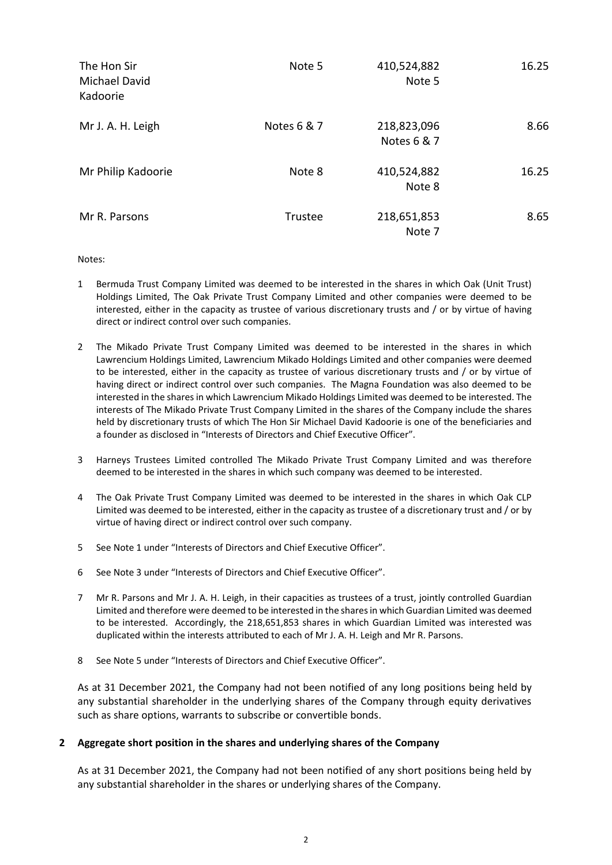| The Hon Sir<br><b>Michael David</b><br>Kadoorie | Note 5      | 410,524,882<br>Note 5      | 16.25 |
|-------------------------------------------------|-------------|----------------------------|-------|
| Mr J. A. H. Leigh                               | Notes 6 & 7 | 218,823,096<br>Notes 6 & 7 | 8.66  |
| Mr Philip Kadoorie                              | Note 8      | 410,524,882<br>Note 8      | 16.25 |
| Mr R. Parsons                                   | Trustee     | 218,651,853<br>Note 7      | 8.65  |

#### Notes:

- 1 Bermuda Trust Company Limited was deemed to be interested in the shares in which Oak (Unit Trust) Holdings Limited, The Oak Private Trust Company Limited and other companies were deemed to be interested, either in the capacity as trustee of various discretionary trusts and / or by virtue of having direct or indirect control over such companies.
- 2 The Mikado Private Trust Company Limited was deemed to be interested in the shares in which Lawrencium Holdings Limited, Lawrencium Mikado Holdings Limited and other companies were deemed to be interested, either in the capacity as trustee of various discretionary trusts and / or by virtue of having direct or indirect control over such companies. The Magna Foundation was also deemed to be interested in the shares in which Lawrencium Mikado Holdings Limited was deemed to be interested. The interests of The Mikado Private Trust Company Limited in the shares of the Company include the shares held by discretionary trusts of which The Hon Sir Michael David Kadoorie is one of the beneficiaries and a founder as disclosed in "Interests of Directors and Chief Executive Officer".
- 3 Harneys Trustees Limited controlled The Mikado Private Trust Company Limited and was therefore deemed to be interested in the shares in which such company was deemed to be interested.
- 4 The Oak Private Trust Company Limited was deemed to be interested in the shares in which Oak CLP Limited was deemed to be interested, either in the capacity as trustee of a discretionary trust and / or by virtue of having direct or indirect control over such company.
- 5 See Note 1 under "Interests of Directors and Chief Executive Officer".
- 6 See Note 3 under "Interests of Directors and Chief Executive Officer".
- 7 Mr R. Parsons and Mr J. A. H. Leigh, in their capacities as trustees of a trust, jointly controlled Guardian Limited and therefore were deemed to be interested in the shares in which Guardian Limited was deemed to be interested. Accordingly, the 218,651,853 shares in which Guardian Limited was interested was duplicated within the interests attributed to each of Mr J. A. H. Leigh and Mr R. Parsons.
- 8 See Note 5 under "Interests of Directors and Chief Executive Officer".

As at 31 December 2021, the Company had not been notified of any long positions being held by any substantial shareholder in the underlying shares of the Company through equity derivatives such as share options, warrants to subscribe or convertible bonds.

#### **2 Aggregate short position in the shares and underlying shares of the Company**

As at 31 December 2021, the Company had not been notified of any short positions being held by any substantial shareholder in the shares or underlying shares of the Company.